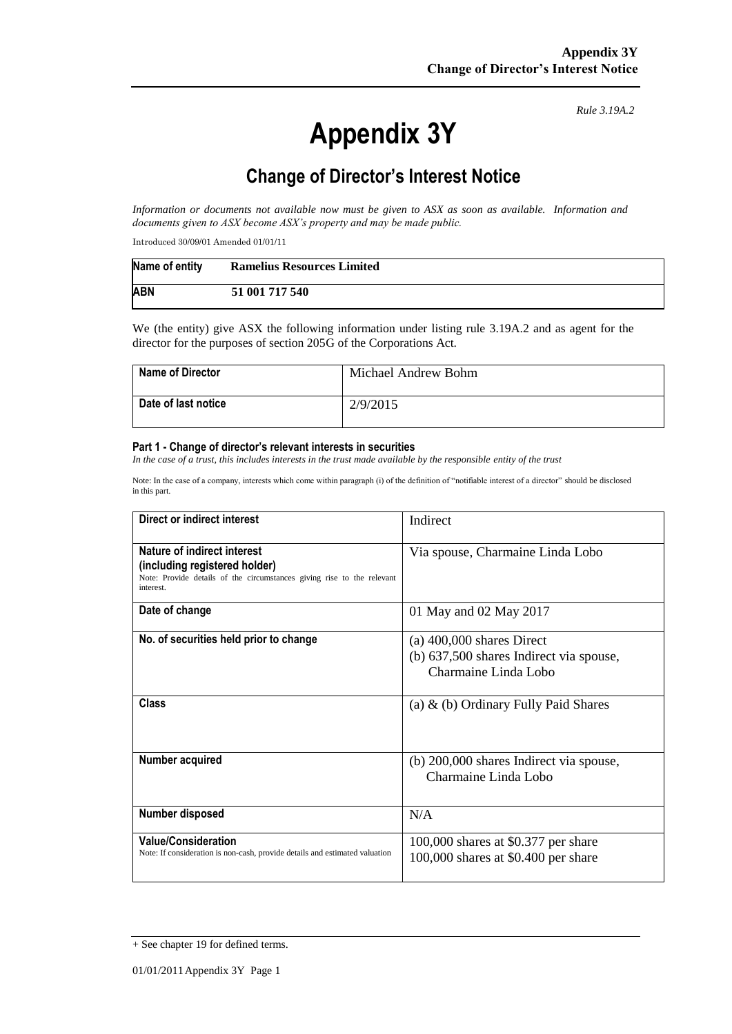# **Appendix 3Y**

*Rule 3.19A.2*

## **Change of Director's Interest Notice**

*Information or documents not available now must be given to ASX as soon as available. Information and documents given to ASX become ASX's property and may be made public.*

Introduced 30/09/01 Amended 01/01/11

| Name of entity | <b>Ramelius Resources Limited</b> |
|----------------|-----------------------------------|
| <b>ABN</b>     | 51 001 717 540                    |

We (the entity) give ASX the following information under listing rule 3.19A.2 and as agent for the director for the purposes of section 205G of the Corporations Act.

| <b>Name of Director</b> | Michael Andrew Bohm |
|-------------------------|---------------------|
| Date of last notice     | 2/9/2015            |

#### **Part 1 - Change of director's relevant interests in securities**

*In the case of a trust, this includes interests in the trust made available by the responsible entity of the trust*

Note: In the case of a company, interests which come within paragraph (i) of the definition of "notifiable interest of a director" should be disclosed in this part.

| Direct or indirect interest                                                                                                                         | Indirect                                                                                       |  |
|-----------------------------------------------------------------------------------------------------------------------------------------------------|------------------------------------------------------------------------------------------------|--|
| Nature of indirect interest<br>(including registered holder)<br>Note: Provide details of the circumstances giving rise to the relevant<br>interest. | Via spouse, Charmaine Linda Lobo                                                               |  |
| Date of change                                                                                                                                      | 01 May and 02 May 2017                                                                         |  |
| No. of securities held prior to change                                                                                                              | $(a)$ 400,000 shares Direct<br>(b) 637,500 shares Indirect via spouse,<br>Charmaine Linda Lobo |  |
| Class                                                                                                                                               | (a) $\&$ (b) Ordinary Fully Paid Shares                                                        |  |
| Number acquired                                                                                                                                     | (b) 200,000 shares Indirect via spouse,<br>Charmaine Linda Lobo                                |  |
| Number disposed                                                                                                                                     | N/A                                                                                            |  |
| <b>Value/Consideration</b><br>Note: If consideration is non-cash, provide details and estimated valuation                                           | $100,000$ shares at \$0.377 per share<br>100,000 shares at \$0.400 per share                   |  |

<sup>+</sup> See chapter 19 for defined terms.